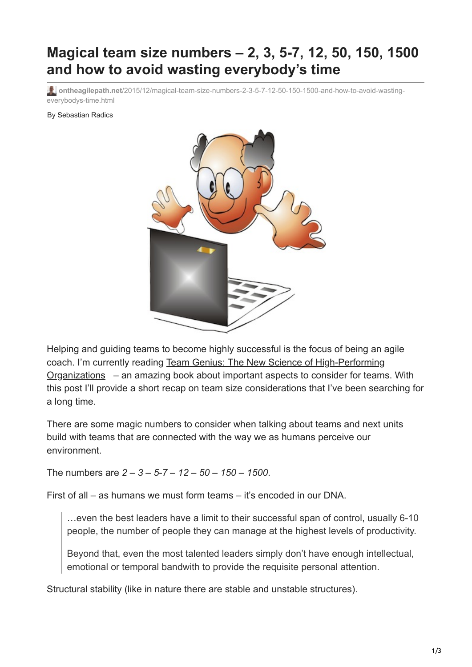## **Magical team size numbers – 2, 3, 5-7, 12, 50, 150, 1500 and how to avoid wasting everybody's time**

**ontheagilepath.net**[/2015/12/magical-team-size-numbers-2-3-5-7-12-50-150-1500-and-how-to-avoid-wasting](https://www.ontheagilepath.net/2015/12/magical-team-size-numbers-2-3-5-7-12-50-150-1500-and-how-to-avoid-wasting-everybodys-time.html)everybodys-time.html

By Sebastian Radics



Helping and guiding teams to become highly successful is the focus of being an agile [coach. I'm currently reading Team Genius: The New Science of High-Performing](http://www.amazon.de/gp/product/006230254X/ref=as_li_tl?ie=UTF8&camp=1638&creative=19454&creativeASIN=006230254X&linkCode=as2&tag=httpwwwradics-21) Organizations – an amazing book about important aspects to consider for teams. With this post I'll provide a short recap on team size considerations that I've been searching for a long time.

There are some magic numbers to consider when talking about teams and next units build with teams that are connected with the way we as humans perceive our environment.

The numbers are *2 – 3 – 5-7 – 12 – 50 – 150 – 1500*.

First of all – as humans we must form teams – it's encoded in our DNA.

…even the best leaders have a limit to their successful span of control, usually 6-10 people, the number of people they can manage at the highest levels of productivity.

Beyond that, even the most talented leaders simply don't have enough intellectual, emotional or temporal bandwith to provide the requisite personal attention.

Structural stability (like in nature there are stable and unstable structures).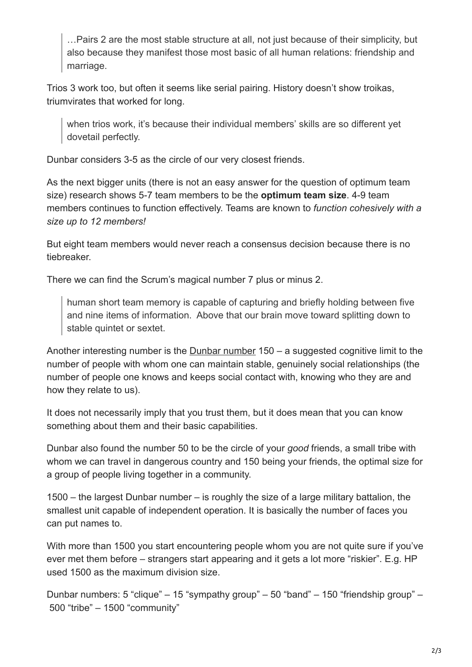…Pairs 2 are the most stable structure at all, not just because of their simplicity, but also because they manifest those most basic of all human relations: friendship and marriage.

Trios 3 work too, but often it seems like serial pairing. History doesn't show troikas, triumvirates that worked for long.

when trios work, it's because their individual members' skills are so different yet dovetail perfectly.

Dunbar considers 3-5 as the circle of our very closest friends.

As the next bigger units (there is not an easy answer for the question of optimum team size) research shows 5-7 team members to be the **optimum team size**. 4-9 team members continues to function effectively. Teams are known to *function cohesively with a size up to 12 members!* 

But eight team members would never reach a consensus decision because there is no tiebreaker.

There we can find the Scrum's magical number 7 plus or minus 2.

human short team memory is capable of capturing and briefly holding between five and nine items of information. Above that our brain move toward splitting down to stable quintet or sextet.

Another interesting number is the **Dunbar number** 150 – a suggested cognitive limit to the number of people with whom one can maintain stable, genuinely social relationships (the number of people one knows and keeps social contact with, knowing who they are and how they relate to us).

It does not necessarily imply that you trust them, but it does mean that you can know something about them and their basic capabilities.

Dunbar also found the number 50 to be the circle of your *good* friends, a small tribe with whom we can travel in dangerous country and 150 being your friends, the optimal size for a group of people living together in a community.

1500 – the largest Dunbar number – is roughly the size of a large military battalion, the smallest unit capable of independent operation. It is basically the number of faces you can put names to.

With more than 1500 you start encountering people whom you are not quite sure if you've ever met them before – strangers start appearing and it gets a lot more "riskier". E.g. HP used 1500 as the maximum division size.

Dunbar numbers: 5 "clique" – 15 "sympathy group" – 50 "band" – 150 "friendship group" – 500 "tribe" – 1500 "community"